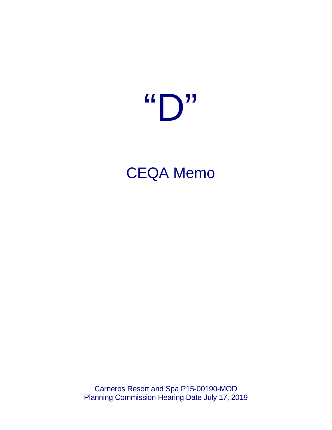# $\mathbf{G} \bigcap \mathbf{U}$

CEQA Memo

Carneros Resort and Spa P15-00190-MOD Planning Commission Hearing Date July 17, 2019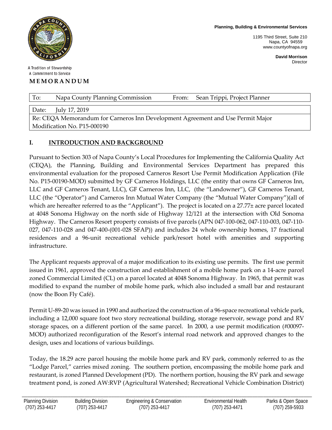

A Tradition of Stewardship A Commitment to Service

### **MEMORANDUM**

**Planning, Building & Environmental Services**

1195 Third Street, Suite 210 Napa, CA 94559 www.countyofnapa.org

> **David Morrison** Director

|                                   | To:   | Napa County Planning Commission | From: | Sean Trippi, Project Planner |  |  |
|-----------------------------------|-------|---------------------------------|-------|------------------------------|--|--|
|                                   |       |                                 |       |                              |  |  |
|                                   | Date: | July 17, 2019                   |       |                              |  |  |
| the company's company's company's |       |                                 |       |                              |  |  |

Re: CEQA Memorandum for Carneros Inn Development Agreement and Use Permit Major Modification No. P15-000190

## **I. INTRODUCTION AND BACKGROUND**

Pursuant to Section 303 of Napa County's Local Procedures for Implementing the California Quality Act (CEQA), the Planning, Building and Environmental Services Department has prepared this environmental evaluation for the proposed Carneros Resort Use Permit Modification Application (File No. P15-00190-MOD) submitted by GF Carneros Holdings, LLC (the entity that owns GF Carneros Inn, LLC and GF Carneros Tenant, LLC), GF Carneros Inn, LLC, (the "Landowner"), GF Carneros Tenant, LLC (the "Operator") and Carneros Inn Mutual Water Company (the "Mutual Water Company")(all of which are hereafter referred to as the "Applicant"). The project is located on a 27.77± acre parcel located at 4048 Sonoma Highway on the north side of Highway 12/121 at the intersection with Old Sonoma Highway. The Carneros Resort property consists of five parcels (APN 047-100-062, 047-110-003, 047-110- 027, 047-110-028 and 047-400-(001-028 SFAP)) and includes 24 whole ownership homes, 17 fractional residences and a 96-unit recreational vehicle park/resort hotel with amenities and supporting infrastructure.

The Applicant requests approval of a major modification to its existing use permits. The first use permit issued in 1961, approved the construction and establishment of a mobile home park on a 14-acre parcel zoned Commercial Limited (CL) on a parcel located at 4048 Sonoma Highway. In 1965, that permit was modified to expand the number of mobile home park, which also included a small bar and restaurant (now the Boon Fly Café).

Permit U-89-20 was issued in 1990 and authorized the construction of a 96-space recreational vehicle park, including a 12,000 square foot two story recreational building, storage reservoir, sewage pond and RV storage spaces, on a different portion of the same parcel. In 2000, a use permit modification (#00097- MOD) authorized reconfiguration of the Resort's internal road network and approved changes to the design, uses and locations of various buildings.

Today, the 18.29 acre parcel housing the mobile home park and RV park, commonly referred to as the "Lodge Parcel," carries mixed zoning. The southern portion, encompassing the mobile home park and restaurant, is zoned Planned Development (PD). The northern portion, housing the RV park and sewage treatment pond, is zoned AW:RVP (Agricultural Watershed; Recreational Vehicle Combination District)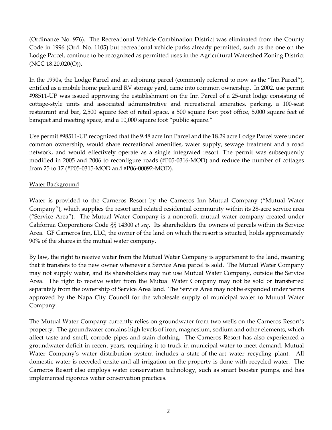(Ordinance No. 976). The Recreational Vehicle Combination District was eliminated from the County Code in 1996 (Ord. No. 1105) but recreational vehicle parks already permitted, such as the one on the Lodge Parcel, continue to be recognized as permitted uses in the Agricultural Watershed Zoning District (NCC 18.20.020(O)).

In the 1990s, the Lodge Parcel and an adjoining parcel (commonly referred to now as the "Inn Parcel"), entitled as a mobile home park and RV storage yard, came into common ownership. In 2002, use permit #98511-UP was issued approving the establishment on the Inn Parcel of a 25-unit lodge consisting of cottage-style units and associated administrative and recreational amenities, parking, a 100-seat restaurant and bar, 2,500 square feet of retail space, a 500 square foot post office, 5,000 square feet of banquet and meeting space, and a 10,000 square foot "public square."

Use permit #98511-UP recognized that the 9.48 acre Inn Parcel and the 18.29 acre Lodge Parcel were under common ownership, would share recreational amenities, water supply, sewage treatment and a road network, and would effectively operate as a single integrated resort. The permit was subsequently modified in 2005 and 2006 to reconfigure roads (#P05-0316-MOD) and reduce the number of cottages from 25 to 17 (#P05-0315-MOD and #P06-00092-MOD).

## Water Background

Water is provided to the Carneros Resort by the Carneros Inn Mutual Company ("Mutual Water Company"), which supplies the resort and related residential community within its 28-acre service area ("Service Area"). The Mutual Water Company is a nonprofit mutual water company created under California Corporations Code §§ 14300 *et seq*. Its shareholders the owners of parcels within its Service Area. GF Carneros Inn, LLC, the owner of the land on which the resort is situated, holds approximately 90% of the shares in the mutual water company.

By law, the right to receive water from the Mutual Water Company is appurtenant to the land, meaning that it transfers to the new owner whenever a Service Area parcel is sold. The Mutual Water Company may not supply water, and its shareholders may not use Mutual Water Company, outside the Service Area. The right to receive water from the Mutual Water Company may not be sold or transferred separately from the ownership of Service Area land. The Service Area may not be expanded under terms approved by the Napa City Council for the wholesale supply of municipal water to Mutual Water Company.

The Mutual Water Company currently relies on groundwater from two wells on the Carneros Resort's property. The groundwater contains high levels of iron, magnesium, sodium and other elements, which affect taste and smell, corrode pipes and stain clothing. The Carneros Resort has also experienced a groundwater deficit in recent years, requiring it to truck in municipal water to meet demand. Mutual Water Company's water distribution system includes a state-of-the-art water recycling plant. All domestic water is recycled onsite and all irrigation on the property is done with recycled water. The Carneros Resort also employs water conservation technology, such as smart booster pumps, and has implemented rigorous water conservation practices.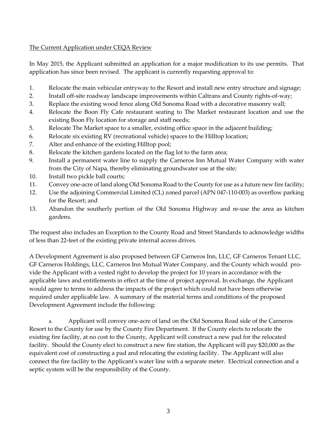# The Current Application under CEQA Review

In May 2015, the Applicant submitted an application for a major modification to its use permits. That application has since been revised. The applicant is currently requesting approval to:

- 1. Relocate the main vehicular entryway to the Resort and install new entry structure and signage;
- 2. Install off-site roadway landscape improvements within Caltrans and County rights-of-way;
- 3. Replace the existing wood fence along Old Sonoma Road with a decorative masonry wall;
- 4. Relocate the Boon Fly Cafe restaurant seating to The Market restaurant location and use the existing Boon Fly location for storage and staff needs;
- 5. Relocate The Market space to a smaller, existing office space in the adjacent building;
- 6. Relocate six existing RV (recreational vehicle) spaces to the Hilltop location;
- 7. Alter and enhance of the existing Hilltop pool;
- 8. Relocate the kitchen gardens located on the flag lot to the farm area;
- 9. Install a permanent water line to supply the Carneros Inn Mutual Water Company with water from the City of Napa, thereby eliminating groundwater use at the site;
- 10. Install two pickle ball courts;
- 11. Convey one-acre of land along Old Sonoma Road to the County for use as a future new fire facility;
- 12. Use the adjoining Commercial Limited (CL) zoned parcel (APN 047-110-003) as overflow parking for the Resort; and
- 13. Abandon the southerly portion of the Old Sonoma Highway and re-use the area as kitchen gardens.

The request also includes an Exception to the County Road and Street Standards to acknowledge widths of less than 22-feet of the existing private internal access drives.

A Development Agreement is also proposed between GF Carneros Inn, LLC, GF Carneros Tenant LLC, GF Carneros Holdings, LLC, Carneros Inn Mutual Water Company, and the County which would provide the Applicant with a vested right to develop the project for 10 years in accordance with the applicable laws and entitlements in effect at the time of project approval. In exchange, the Applicant would agree to terms to address the impacts of the project which could not have been otherwise required under applicable law. A summary of the material terms and conditions of the proposed Development Agreement include the following:

a. Applicant will convey one-acre of land on the Old Sonoma Road side of the Carneros Resort to the County for use by the County Fire Department. If the County elects to relocate the existing fire facility, at no cost to the County, Applicant will construct a new pad for the relocated facility. Should the County elect to construct a new fire station, the Applicant will pay \$20,000 as the equivalent cost of constructing a pad and relocating the existing facility. The Applicant will also connect the fire facility to the Applicant's water line with a separate meter. Electrical connection and a septic system will be the responsibility of the County.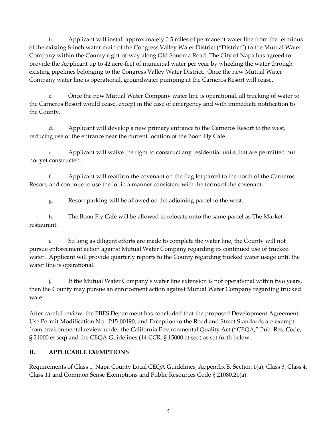b. Applicant will install approximately 0.5 miles of permanent water line from the terminus of the existing 8-inch water main of the Congress Valley Water District ("District") to the Mutual Water Company within the County right-of-way along Old Sonoma Road. The City of Napa has agreed to provide the Applicant up to 42 acre-feet of municipal water per year by wheeling the water through existing pipelines belonging to the Congress Valley Water District. Once the new Mutual Water Company water line is operational, groundwater pumping at the Carneros Resort will cease.

c. Once the new Mutual Water Company water line is operational, all trucking of water to the Carneros Resort would cease, except in the case of emergency and with immediate notification to the County.

d. Applicant will develop a new primary entrance to the Carneros Resort to the west, reducing use of the entrance near the current location of the Boon Fly Café.

e. Applicant will waive the right to construct any residential units that are permitted but not yet constructed.

f. Applicant will reaffirm the covenant on the flag lot parcel to the north of the Carneros Resort, and continue to use the lot in a manner consistent with the terms of the covenant.

g. Resort parking will be allowed on the adjoining parcel to the west.

h. The Boon Fly Café will be allowed to relocate onto the same parcel as The Market restaurant.

i. So long as diligent efforts are made to complete the water line, the County will not pursue enforcement action against Mutual Water Company regarding its continued use of trucked water. Applicant will provide quarterly reports to the County regarding trucked water usage until the water line is operational.

j. If the Mutual Water Company's water line extension is not operational within two years, then the County may pursue an enforcement action against Mutual Water Company regarding trucked water.

After careful review, the PBES Department has concluded that the proposed Development Agreement, Use Permit Modification No. P15-00190, and Exception to the Road and Street Standards are exempt from environmental review under the California Environmental Quality Act ("CEQA;" Pub. Res. Code, § 21000 et seq) and the CEQA Guidelines (14 CCR, § 15000 et seq) as set forth below.

# **II. APPLICABLE EXEMPTIONS**

Requirements of Class 1, Napa County Local CEQA Guidelines, Appendix B, Section 1(a), Class 3, Class 4, Class 11 and Common Sense Exemptions and Public Resources Code § 21080.21(a).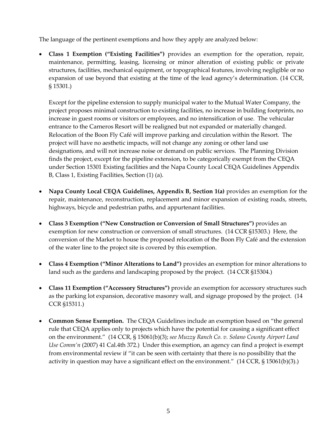The language of the pertinent exemptions and how they apply are analyzed below:

• **Class 1 Exemption ("Existing Facilities")** provides an exemption for the operation, repair, maintenance, permitting, leasing, licensing or minor alteration of existing public or private structures, facilities, mechanical equipment, or topographical features, involving negligible or no expansion of use beyond that existing at the time of the lead agency's determination. (14 CCR, § 15301.)

Except for the pipeline extension to supply municipal water to the Mutual Water Company, the project proposes minimal construction to existing facilities, no increase in building footprints, no increase in guest rooms or visitors or employees, and no intensification of use. The vehicular entrance to the Carneros Resort will be realigned but not expanded or materially changed. Relocation of the Boon Fly Café will improve parking and circulation within the Resort. The project will have no aesthetic impacts, will not change any zoning or other land use designations, and will not increase noise or demand on public services. The Planning Division finds the project, except for the pipeline extension, to be categorically exempt from the CEQA under Section 15301 Existing facilities and the Napa County Local CEQA Guidelines Appendix B, Class 1, Existing Facilities, Section (1) (a).

- **Napa County Local CEQA Guidelines, Appendix B, Section 1(a)** provides an exemption for the repair, maintenance, reconstruction, replacement and minor expansion of existing roads, streets, highways, bicycle and pedestrian paths, and appurtenant facilities.
- **Class 3 Exemption ("New Construction or Conversion of Small Structures")** provides an exemption for new construction or conversion of small structures. (14 CCR §15303.) Here, the conversion of the Market to house the proposed relocation of the Boon Fly Café and the extension of the water line to the project site is covered by this exemption.
- **Class 4 Exemption ("Minor Alterations to Land")** provides an exemption for minor alterations to land such as the gardens and landscaping proposed by the project. (14 CCR §15304.)
- **Class 11 Exemption ("Accessory Structures")** provide an exemption for accessory structures such as the parking lot expansion, decorative masonry wall, and signage proposed by the project. (14 CCR §15311.)
- **Common Sense Exemption.** The CEQA Guidelines include an exemption based on "the general rule that CEQA applies only to projects which have the potential for causing a significant effect on the environment." (14 CCR, § 15061(b)(3); *see Muzzy Ranch Co. v. Solano County Airport Land Use Comm'n* (2007) 41 Cal.4th 372.) Under this exemption, an agency can find a project is exempt from environmental review if "it can be seen with certainty that there is no possibility that the activity in question may have a significant effect on the environment."  $(14 \text{ CCR}, \text{S } 15061(b)(3))$ .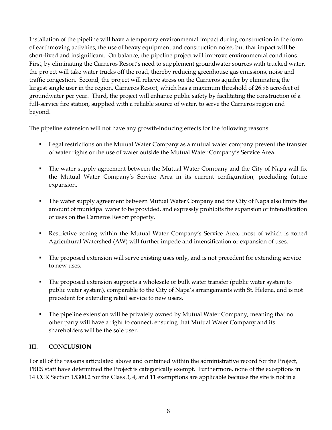Installation of the pipeline will have a temporary environmental impact during construction in the form of earthmoving activities, the use of heavy equipment and construction noise, but that impact will be short-lived and insignificant. On balance, the pipeline project will improve environmental conditions. First, by eliminating the Carneros Resort's need to supplement groundwater sources with trucked water, the project will take water trucks off the road, thereby reducing greenhouse gas emissions, noise and traffic congestion. Second, the project will relieve stress on the Carneros aquifer by eliminating the largest single user in the region, Carneros Resort, which has a maximum threshold of 26.96 acre-feet of groundwater per year. Third, the project will enhance public safety by facilitating the construction of a full-service fire station, supplied with a reliable source of water, to serve the Carneros region and beyond.

The pipeline extension will not have any growth-inducing effects for the following reasons:

- **Legal restrictions on the Mutual Water Company as a mutual water company prevent the transfer** of water rights or the use of water outside the Mutual Water Company's Service Area.
- The water supply agreement between the Mutual Water Company and the City of Napa will fix the Mutual Water Company's Service Area in its current configuration, precluding future expansion.
- The water supply agreement between Mutual Water Company and the City of Napa also limits the amount of municipal water to be provided, and expressly prohibits the expansion or intensification of uses on the Carneros Resort property.
- Restrictive zoning within the Mutual Water Company's Service Area, most of which is zoned Agricultural Watershed (AW) will further impede and intensification or expansion of uses.
- The proposed extension will serve existing uses only, and is not precedent for extending service to new uses.
- The proposed extension supports a wholesale or bulk water transfer (public water system to public water system), comparable to the City of Napa's arrangements with St. Helena, and is not precedent for extending retail service to new users.
- The pipeline extension will be privately owned by Mutual Water Company, meaning that no other party will have a right to connect, ensuring that Mutual Water Company and its shareholders will be the sole user.

# **III. CONCLUSION**

For all of the reasons articulated above and contained within the administrative record for the Project, PBES staff have determined the Project is categorically exempt. Furthermore, none of the exceptions in 14 CCR Section 15300.2 for the Class 3, 4, and 11 exemptions are applicable because the site is not in a